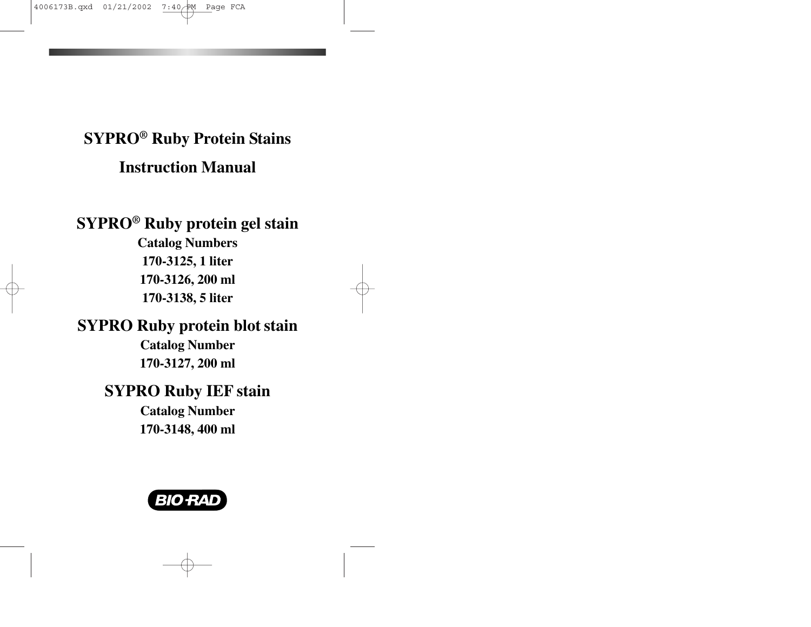# **SYPRO ® Ruby Protein Stains Instruction Manual**

**SYPRO ® Ruby protein gel stain Catalog Numbers 170-3125, 1 liter 170-3126, 200 ml 170-3138, 5 liter**

# **SYPRO Ruby protein blot stain Catalog Number 170-3127, 200 ml**

# **SYPRO Ruby IEF stain Catalog Number 170-3148, 400 ml**

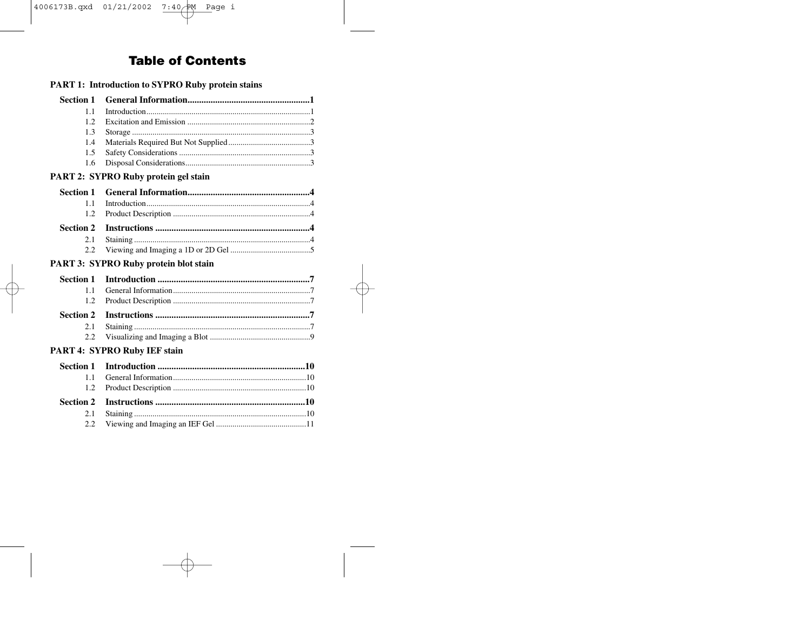# **Table of Contents**

| <b>PART 1: Introduction to SYPRO Ruby protein stains</b> |                                       |  |  |
|----------------------------------------------------------|---------------------------------------|--|--|
| <b>Section 1</b>                                         |                                       |  |  |
| 1.1                                                      |                                       |  |  |
| 1.2                                                      |                                       |  |  |
| 1.3                                                      |                                       |  |  |
| 1.4                                                      |                                       |  |  |
| 1.5                                                      |                                       |  |  |
| 1.6                                                      |                                       |  |  |
|                                                          | PART 2: SYPRO Ruby protein gel stain  |  |  |
| <b>Section 1</b>                                         |                                       |  |  |
| 1.1                                                      |                                       |  |  |
| 1.2                                                      |                                       |  |  |
| <b>Section 2</b>                                         |                                       |  |  |
| 2.1                                                      |                                       |  |  |
| 2.2                                                      |                                       |  |  |
|                                                          | PART 3: SYPRO Ruby protein blot stain |  |  |
| <b>Section 1</b>                                         |                                       |  |  |
| 1.1                                                      |                                       |  |  |
| 1.2                                                      |                                       |  |  |
| <b>Section 2</b>                                         |                                       |  |  |
| 2.1                                                      |                                       |  |  |
| 2.2                                                      |                                       |  |  |
|                                                          | PART 4: SYPRO Ruby IEF stain          |  |  |
| <b>Section 1</b>                                         |                                       |  |  |
| 1.1                                                      |                                       |  |  |
| 1.2                                                      |                                       |  |  |
| <b>Section 2</b>                                         |                                       |  |  |
| 2.1                                                      |                                       |  |  |
| 2.2                                                      |                                       |  |  |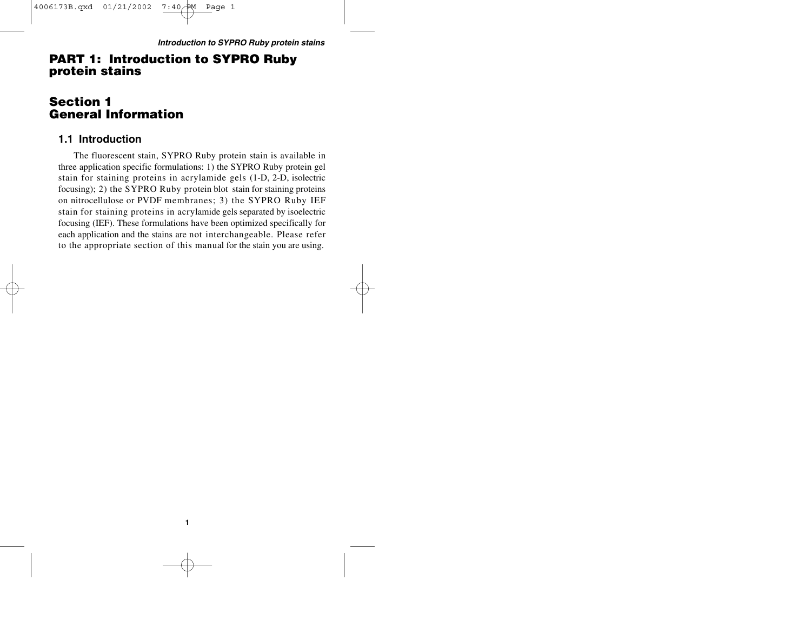# **PART 1: Introduction to SYPRO Ruby protein stains**

# **Section 1 General Information**

### **1.1 Introduction**

The fluorescent stain, SYPRO Ruby protein stain is available in three application specific formulations: 1) the SYPRO Ruby protein gel stain for staining proteins in acrylamide gels (1-D, 2-D, isolectric focusing); 2) the SYPRO Ruby protein blot stain for staining proteins on nitrocellulose or PVDF membranes; 3) the SYPRO Ruby IEF stain for staining proteins in acrylamide gels separated by isoelectric focusing (IEF). These formulations have been optimized specifically for each application and the stains are not interchangeable. Please refer to the appropriate section of this manual for the stain you are using.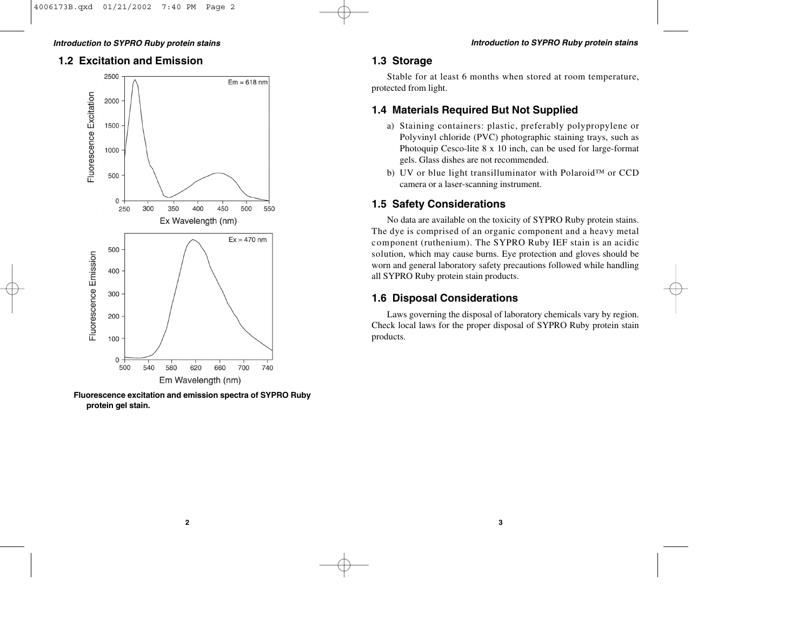# **1.2 Excitation and Emission**



**Fluorescence excitation and emission spectra of SYPRO Ruby protein gel stain.**

# **1.3 Storage**

Stable for at least 6 months when stored at room temperature, protected from light.

# **1.4 Materials Required But Not Supplied**

- a) Staining containers: plastic, preferably polypropylene or Polyvinyl chloride (PVC) photographic staining trays, such as Photoquip Cesco-lite 8 x 10 inch, can be used for large-format gels. Glass dishes are not recommended.
- b) UV or blue light transilluminator with Polaroid™ or CCD camera or a laser-scanning instrument.

# **1.5 Safety Considerations**

No data are available on the toxicity of SYPRO Ruby protein stains. The dye is comprised of an organic component and a heavy metal component (ruthenium). The SYPRO Ruby IEF stain is an acidic solution, which may cause burns. Eye protection and gloves should be worn and general laboratory safety precautions followed while handling all SYPRO Ruby protein stain products.

# **1.6 Disposal Considerations**

Laws governing the disposal of laboratory chemicals vary by region. Check local laws for the proper disposal of SYPRO Ruby protein stain products.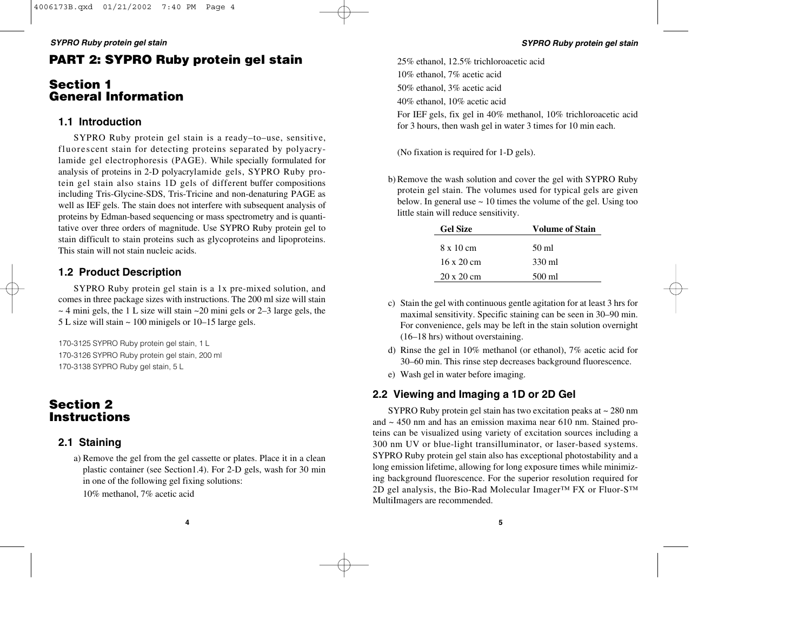# **PART 2: SYPRO Ruby protein gel stain**

# **Section 1 General Information**

## **1.1 Introduction**

SYPRO Ruby protein gel stain is a ready–to–use, sensitive, fluorescent stain for detecting proteins separated by polyacrylamide gel electrophoresis (PAGE). While specially formulated for analysis of proteins in 2-D polyacrylamide gels, SYPRO Ruby protein gel stain also stains 1D gels of different buffer compositions including Tris-Glycine-SDS, Tris-Tricine and non-denaturing PAGE as well as IEF gels. The stain does not interfere with subsequent analysis of proteins by Edman-based sequencing or mass spectrometry and is quantitative over three orders of magnitude. Use SYPRO Ruby protein gel to stain difficult to stain proteins such as glycoproteins and lipoproteins. This stain will not stain nucleic acids.

# **1.2 Product Description**

SYPRO Ruby protein gel stain is a 1x pre-mixed solution, and comes in three package sizes with instructions. The 200 ml size will stain  $\sim$  4 mini gels, the 1 L size will stain  $\sim$  20 mini gels or 2–3 large gels, the 5 L size will stain ~ 100 minigels or 10–15 large gels.

170-3125 SYPRO Ruby protein gel stain, 1 L 170-3126 SYPRO Ruby protein gel stain, 200 ml 170-3138 SYPRO Ruby gel stain, 5 L

# **Section 2 Instructions**

# **2.1 Staining**

a) Remove the gel from the gel cassette or plates. Place it in a clean plastic container (see Section1.4). For 2-D gels, wash for 30 min in one of the following gel fixing solutions:

10% methanol, 7% acetic acid

25% ethanol, 12.5% trichloroacetic acid 10% ethanol, 7% acetic acid 50% ethanol, 3% acetic acid 40% ethanol, 10% acetic acid For IEF gels, fix gel in 40% methanol, 10% trichloroacetic acid for 3 hours, then wash gel in water 3 times for 10 min each.

(No fixation is required for 1-D gels).

b) Remove the wash solution and cover the gel with SYPRO Ruby protein gel stain. The volumes used for typical gels are given below. In general use  $\sim$  10 times the volume of the gel. Using too little stain will reduce sensitivity.

| <b>Gel Size</b>           | <b>Volume of Stain</b> |
|---------------------------|------------------------|
| 8 x 10 cm                 | 50 ml                  |
| $16 \times 20 \text{ cm}$ | 330 ml                 |
| 20 x 20 cm                | 500 ml                 |

- c) Stain the gel with continuous gentle agitation for at least 3 hrs for maximal sensitivity. Specific staining can be seen in 30–90 min. For convenience, gels may be left in the stain solution overnight (16–18 hrs) without overstaining.
- d) Rinse the gel in 10% methanol (or ethanol), 7% acetic acid for 30–60 min. This rinse step decreases background fluorescence.
- e) Wash gel in water before imaging.

# **2.2 Viewing and Imaging a 1D or 2D Gel**

SYPRO Ruby protein gel stain has two excitation peaks at  $\sim$  280 nm and ~ 450 nm and has an emission maxima near 610 nm. Stained proteins can be visualized using variety of excitation sources including a 300 nm UV or blue-light transilluminator, or laser-based systems. SYPRO Ruby protein gel stain also has exceptional photostability and a long emission lifetime, allowing for long exposure times while minimizing background fluorescence. For the superior resolution required for 2D gel analysis, the Bio-Rad Molecular Imager™ FX or Fluor-S™ MultiImagers are recommended.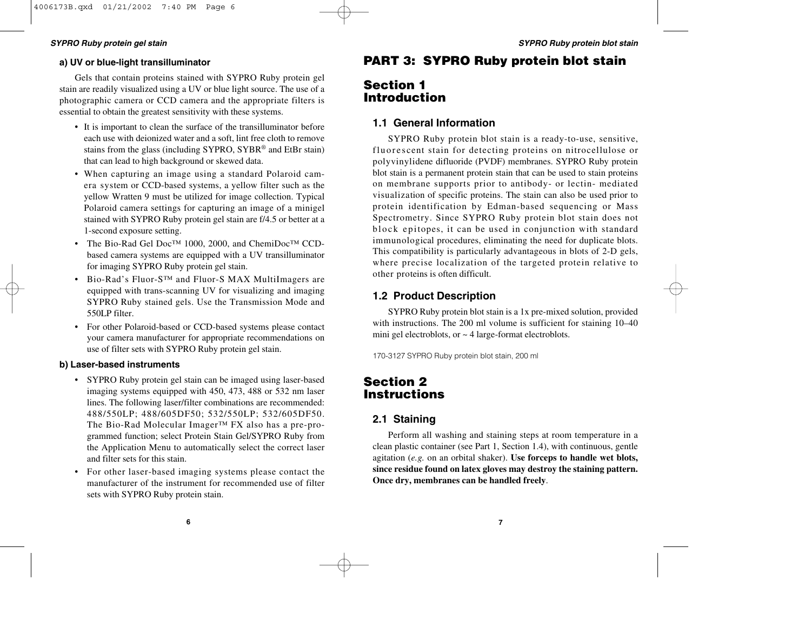#### **SYPRO Ruby protein gel stain SYPRO Ruby protein blot stain**

#### **a) UV or blue-light transilluminator**

Gels that contain proteins stained with SYPRO Ruby protein gel stain are readily visualized using a UV or blue light source. The use of a photographic camera or CCD camera and the appropriate filters is essential to obtain the greatest sensitivity with these systems.

- It is important to clean the surface of the transilluminator before each use with deionized water and a soft, lint free cloth to remove stains from the glass (including SYPRO, SYBR® and EtBr stain) that can lead to high background or skewed data.
- When capturing an image using a standard Polaroid camera system or CCD-based systems, a yellow filter such as the yellow Wratten 9 must be utilized for image collection. Typical Polaroid camera settings for capturing an image of a minigel stained with SYPRO Ruby protein gel stain are f/4.5 or better at a 1-second exposure setting.
- The Bio-Rad Gel Doc™ 1000, 2000, and ChemiDoc™ CCDbased camera systems are equipped with a UV transilluminator for imaging SYPRO Ruby protein gel stain.
- Bio-Rad's Fluor-S™ and Fluor-S MAX MultiImagers are equipped with trans-scanning UV for visualizing and imaging SYPRO Ruby stained gels. Use the Transmission Mode and 550LP filter.
- For other Polaroid-based or CCD-based systems please contact your camera manufacturer for appropriate recommendations on use of filter sets with SYPRO Ruby protein gel stain.

#### **b) Laser-based instruments**

- SYPRO Ruby protein gel stain can be imaged using laser-based imaging systems equipped with 450, 473, 488 or 532 nm laser lines. The following laser/filter combinations are recommended: 488/550LP; 488/605DF50; 532/550LP; 532/605DF50. The Bio-Rad Molecular Imager™ FX also has a pre-programmed function; select Protein Stain Gel/SYPRO Ruby from the Application Menu to automatically select the correct laser and filter sets for this stain.
- For other laser-based imaging systems please contact the manufacturer of the instrument for recommended use of filter sets with SYPRO Ruby protein stain.

# **PART 3: SYPRO Ruby protein blot stain**

# **Section 1 Introduction**

### **1.1 General Information**

SYPRO Ruby protein blot stain is a ready-to-use, sensitive, fluores cent stain for detecting proteins on nitrocellulose or polyvinylidene difluoride (PVDF) membranes. SYPRO Ruby protein blot stain is a permanent protein stain that can be used to stain proteins on membrane supports prior to antibody- or lectin- mediated visualization of specific proteins. The stain can also be used prior to protein identification by Edman-based sequencing or Mass Spectrometry. Since SYPRO Ruby protein blot stain does not block epitopes, it can be used in conjunction with standard immunological procedures, eliminating the need for duplicate blots. This compatibility is particularly advantageous in blots of 2-D gels, where precise localization of the targeted protein relative to other proteins is often difficult.

### **1.2 Product Description**

SYPRO Ruby protein blot stain is a 1x pre-mixed solution, provided with instructions. The 200 ml volume is sufficient for staining 10–40 mini gel electroblots, or  $\sim$  4 large-format electroblots.

170-3127 SYPRO Ruby protein blot stain, 200 ml

# **Section 2 Instructions**

### **2.1 Staining**

Perform all washing and staining steps at room temperature in a clean plastic container (see Part 1, Section 1.4), with continuous, gentle agitation (*e.g.* on an orbital shaker). **Use forceps to handle wet blots, since residue found on latex gloves may destroy the staining pattern. Once dry, membranes can be handled freely**.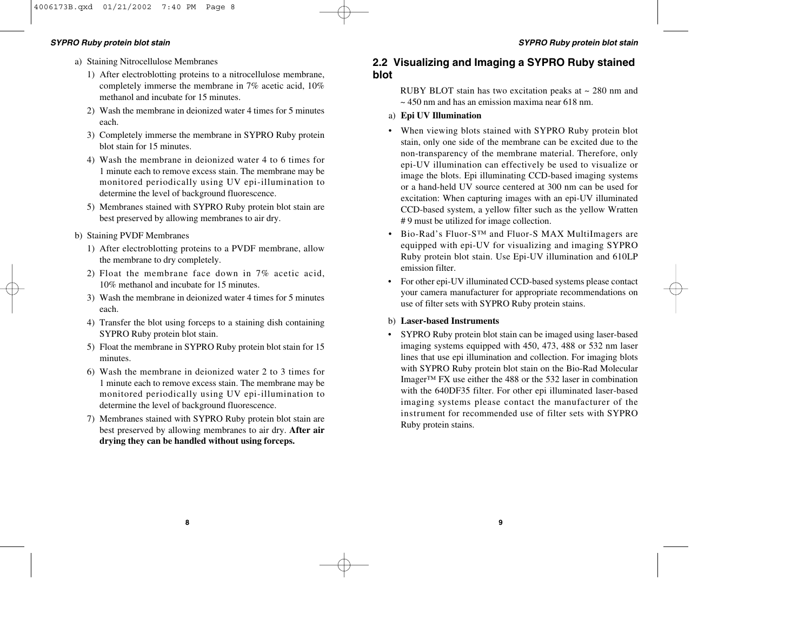#### **SYPRO Ruby protein blot stain SYPRO Ruby protein blot stain**

- a) Staining Nitrocellulose Membranes
	- 1) After electroblotting proteins to a nitrocellulose membrane, completely immerse the membrane in 7% acetic acid, 10% methanol and incubate for 15 minutes.
	- 2) Wash the membrane in deionized water 4 times for 5 minutes each.
	- 3) Completely immerse the membrane in SYPRO Ruby protein blot stain for 15 minutes.
	- 4) Wash the membrane in deionized water 4 to 6 times for 1 minute each to remove excess stain. The membrane may be monitored periodically using UV epi-illumination to determine the level of background fluorescence.
	- 5) Membranes stained with SYPRO Ruby protein blot stain are best preserved by allowing membranes to air dry.
- b) Staining PVDF Membranes
	- 1) After electroblotting proteins to a PVDF membrane, allow the membrane to dry completely.
	- 2) Float the membrane face down in 7% acetic acid, 10% methanol and incubate for 15 minutes.
	- 3) Wash the membrane in deionized water 4 times for 5 minutes each.
	- 4) Transfer the blot using forceps to a staining dish containing SYPRO Ruby protein blot stain.
	- 5) Float the membrane in SYPRO Ruby protein blot stain for 15 minutes.
	- 6) Wash the membrane in deionized water 2 to 3 times for 1 minute each to remove excess stain. The membrane may be monitored periodically using UV epi-illumination to determine the level of background fluorescence.
	- 7) Membranes stained with SYPRO Ruby protein blot stain are best preserved by allowing membranes to air dry. **After air drying they can be handled without using forceps.**

### **2.2 Visualizing and Imaging a SYPRO Ruby stained blot**

RUBY BLOT stain has two excitation peaks at ~ 280 nm and  $\sim$  450 nm and has an emission maxima near 618 nm.

- a) **Epi UV Illumination**
- When viewing blots stained with SYPRO Ruby protein blot stain, only one side of the membrane can be excited due to the non-transparency of the membrane material. Therefore, only epi-UV illumination can effectively be used to visualize or image the blots. Epi illuminating CCD-based imaging systems or a hand-held UV source centered at 300 nm can be used for excitation: When capturing images with an epi-UV illuminated CCD-based system, a yellow filter such as the yellow Wratten # 9 must be utilized for image collection.
- Bio-Rad's Fluor-S™ and Fluor-S MAX MultiImagers are equipped with epi-UV for visualizing and imaging SYPRO Ruby protein blot stain. Use Epi-UV illumination and 610LP emission filter.
- • For other epi-UV illuminated CCD-based systems please contact your camera manufacturer for appropriate recommendations on use of filter sets with SYPRO Ruby protein stains.

#### b) **Laser-based Instruments**

• SYPRO Ruby protein blot stain can be imaged using laser-based imaging systems equipped with 450, 473, 488 or 532 nm laser lines that use epi illumination and collection. For imaging blots with SYPRO Ruby protein blot stain on the Bio-Rad Molecular Imager™ FX use either the 488 or the 532 laser in combination with the 640DF35 filter. For other epi illuminated laser-based imaging systems please contact the manufacturer of the instrument for recommended use of filter sets with SYPRO Ruby protein stains.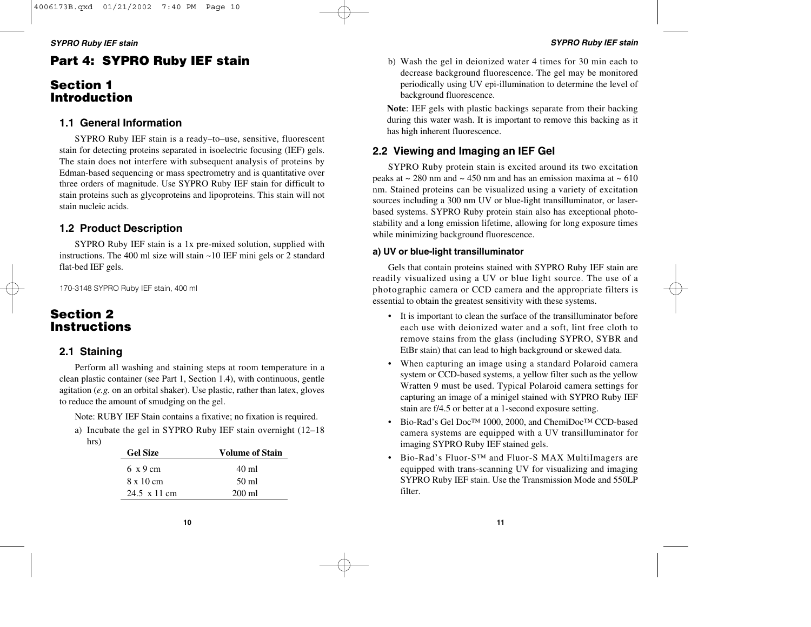# **Part 4: SYPRO Ruby IEF stain**

# **Section 1 Introduction**

### **1.1 General Information**

SYPRO Ruby IEF stain is a ready–to–use, sensitive, fluorescent stain for detecting proteins separated in isoelectric focusing (IEF) gels. The stain does not interfere with subsequent analysis of proteins by Edman-based sequencing or mass spectrometry and is quantitative over three orders of magnitude. Use SYPRO Ruby IEF stain for difficult to stain proteins such as glycoproteins and lipoproteins. This stain will not stain nucleic acids.

# **1.2 Product Description**

SYPRO Ruby IEF stain is a 1x pre-mixed solution, supplied with instructions. The 400 ml size will stain ~10 IEF mini gels or 2 standard flat-bed IEF gels.

170-3148 SYPRO Ruby IEF stain, 400 ml

### **Section 2 Instructions**

### **2.1 Staining**

Perform all washing and staining steps at room temperature in a clean plastic container (see Part 1, Section 1.4), with continuous, gentle agitation (*e.g.* on an orbital shaker). Use plastic, rather than latex, gloves to reduce the amount of smudging on the gel.

Note: RUBY IEF Stain contains a fixative; no fixation is required.

a) Incubate the gel in SYPRO Ruby IEF stain overnight (12–18 hrs)

| <b>Gel Size</b>          | <b>Volume of Stain</b> |
|--------------------------|------------------------|
| $6 \times 9$ cm          | 40 ml                  |
| $8 \times 10 \text{ cm}$ | 50 ml                  |
| 24.5 x 11 cm             | $200 \text{ ml}$       |

b) Wash the gel in deionized water 4 times for 30 min each to decrease background fluorescence. The gel may be monitored periodically using UV epi-illumination to determine the level of background fluorescence.

**Note**: IEF gels with plastic backings separate from their backing during this water wash. It is important to remove this backing as it has high inherent fluorescence.

# **2.2 Viewing and Imaging an IEF Gel**

SYPRO Ruby protein stain is excited around its two excitation peaks at  $\sim$  280 nm and  $\sim$  450 nm and has an emission maxima at  $\sim$  610 nm. Stained proteins can be visualized using a variety of excitation sources including a 300 nm UV or blue-light transilluminator, or laserbased systems. SYPRO Ruby protein stain also has exceptional photostability and a long emission lifetime, allowing for long exposure times while minimizing background fluorescence.

### **a) UV or blue-light transilluminator**

Gels that contain proteins stained with SYPRO Ruby IEF stain are readily visualized using a UV or blue light source. The use of a photographic camera or CCD camera and the appropriate filters is essential to obtain the greatest sensitivity with these systems.

- It is important to clean the surface of the transilluminator before each use with deionized water and a soft, lint free cloth to remove stains from the glass (including SYPRO, SYBR and EtBr stain) that can lead to high background or skewed data.
- When capturing an image using a standard Polaroid camera system or CCD-based systems, a yellow filter such as the yellow Wratten 9 must be used. Typical Polaroid camera settings for capturing an image of a minigel stained with SYPRO Ruby IEF stain are f/4.5 or better at a 1-second exposure setting.
- Bio-Rad's Gel Doc™ 1000, 2000, and ChemiDoc™ CCD-based camera systems are equipped with a UV transilluminator for imaging SYPRO Ruby IEF stained gels.
- Bio-Rad's Fluor-S™ and Fluor-S MAX MultiImagers are equipped with trans-scanning UV for visualizing and imaging SYPRO Ruby IEF stain. Use the Transmission Mode and 550LP filter.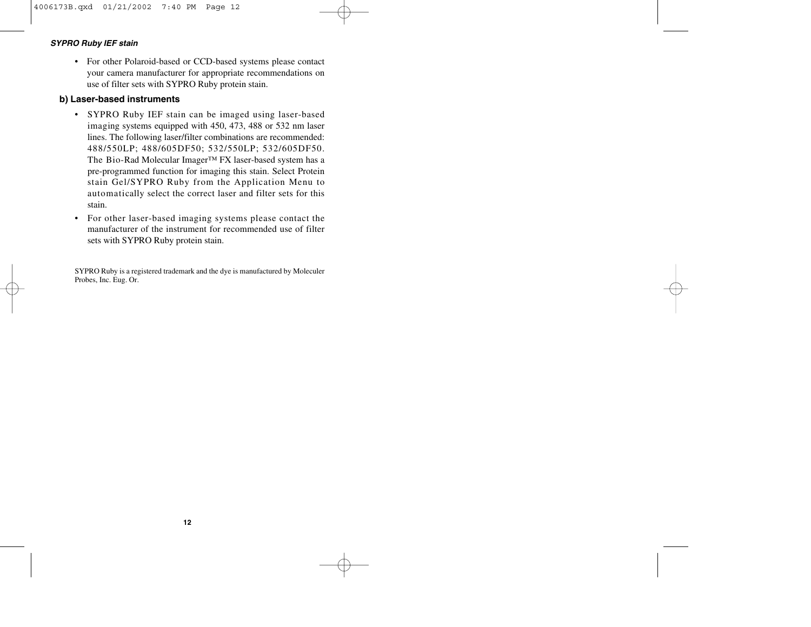#### **SYPRO Ruby IEF stain**

• For other Polaroid-based or CCD-based systems please contact your camera manufacturer for appropriate recommendations on use of filter sets with SYPRO Ruby protein stain.

### **b) Laser-based instruments**

- • SYPRO Ruby IEF stain can be imaged using laser-based imaging systems equipped with 450, 473, 488 or 532 nm laser lines. The following laser/filter combinations are recommended: 488/550LP; 488/605DF50; 532/550LP; 532/605DF50. The Bio-Rad Molecular Imager™ FX laser-based system has a pre-programmed function for imaging this stain. Select Protein stain Gel/SYPRO Ruby from the Application Menu to automatically select the correct laser and filter sets for this stain.
- For other laser-based imaging systems please contact the manufacturer of the instrument for recommended use of filter sets with SYPRO Ruby protein stain.

SYPRO Ruby is a registered trademark and the dye is manufactured by Moleculer Probes, Inc. Eug. Or.